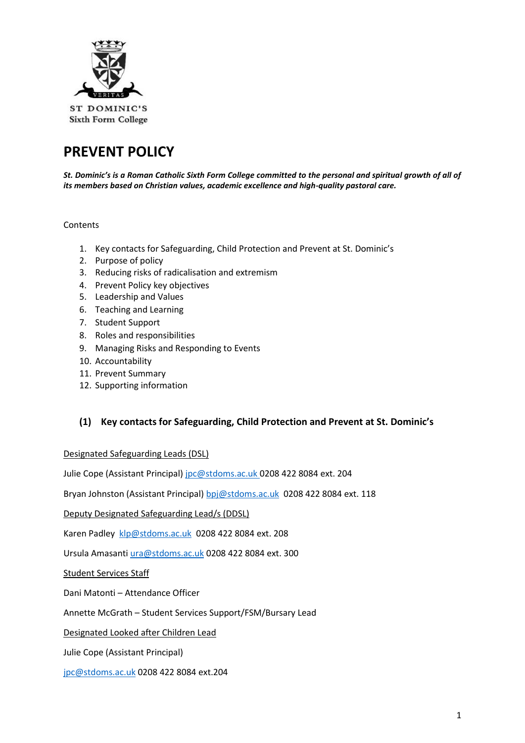

# **PREVENT POLICY**

*St. Dominic's is a Roman Catholic Sixth Form College committed to the personal and spiritual growth of all of its members based on Christian values, academic excellence and high-quality pastoral care.*

**Contents** 

- 1. Key contacts for Safeguarding, Child Protection and Prevent at St. Dominic's
- 2. Purpose of policy
- 3. Reducing risks of radicalisation and extremism
- 4. Prevent Policy key objectives
- 5. Leadership and Values
- 6. Teaching and Learning
- 7. Student Support
- 8. Roles and responsibilities
- 9. Managing Risks and Responding to Events
- 10. Accountability
- 11. Prevent Summary
- 12. Supporting information

#### **(1) Key contacts for Safeguarding, Child Protection and Prevent at St. Dominic's**

Designated Safeguarding Leads (DSL)

Julie Cope (Assistant Principal) [jpc@stdoms.ac.uk](mailto:jpc@stdoms.ac.uk) 0208 422 8084 ext. 204

Bryan Johnston (Assistant Principal[\) bpj@stdoms.ac.uk](mailto:bpj@stdoms.ac.uk) 0208 422 8084 ext. 118

Deputy Designated Safeguarding Lead/s (DDSL)

Karen Padley [klp@stdoms.ac.uk](mailto:klp@stdoms.ac.uk) 0208 422 8084 ext. 208

Ursula Amasanti [ura@stdoms.ac.uk](mailto:ura@stdoms.ac.uk) 0208 422 8084 ext. 300

Student Services Staff

Dani Matonti – Attendance Officer

Annette McGrath – Student Services Support/FSM/Bursary Lead

Designated Looked after Children Lead

Julie Cope (Assistant Principal)

[jpc@stdoms.ac.uk](mailto:jpc@stdoms.ac.uk) 0208 422 8084 ext.204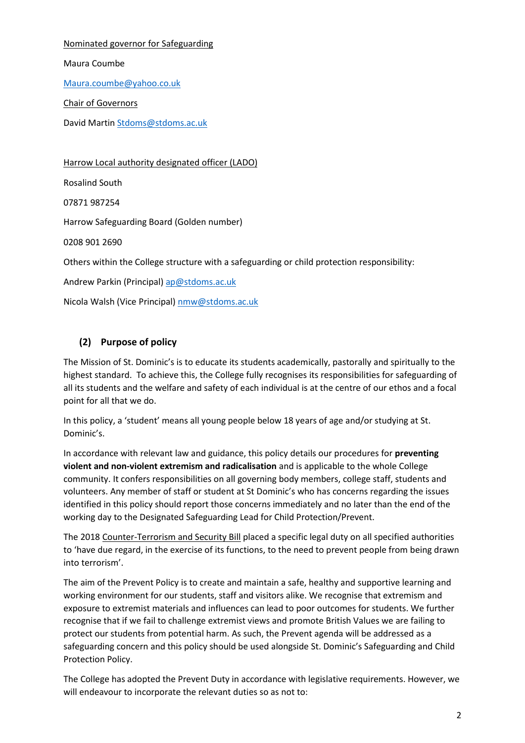Nominated governor for Safeguarding

Maura Coumbe

[Maura.coumbe@yahoo.co.uk](mailto:Maura.coumbe@yahoo.co.uk)

Chair of Governors

David Martin [Stdoms@stdoms.ac.uk](mailto:Stdoms@stdoms.ac.uk)

Harrow Local authority designated officer (LADO) Rosalind South 07871 987254 Harrow Safeguarding Board (Golden number) 0208 901 2690 Others within the College structure with a safeguarding or child protection responsibility: Andrew Parkin (Principal) [ap@stdoms.ac.uk](mailto:ap@stdoms.ac.uk) Nicola Walsh (Vice Principal) [nmw@stdoms.ac.uk](mailto:nmw@stdoms.ac.uk)

# **(2) Purpose of policy**

The Mission of St. Dominic's is to educate its students academically, pastorally and spiritually to the highest standard. To achieve this, the College fully recognises its responsibilities for safeguarding of all its students and the welfare and safety of each individual is at the centre of our ethos and a focal point for all that we do.

In this policy, a 'student' means all young people below 18 years of age and/or studying at St. Dominic's.

In accordance with relevant law and guidance, this policy details our procedures for **preventing violent and non-violent extremism and radicalisation** and is applicable to the whole College community. It confers responsibilities on all governing body members, college staff, students and volunteers. Any member of staff or student at St Dominic's who has concerns regarding the issues identified in this policy should report those concerns immediately and no later than the end of the working day to the Designated Safeguarding Lead for Child Protection/Prevent.

The 2018 Counter-Terrorism and Security Bill placed a specific legal duty on all specified authorities to 'have due regard, in the exercise of its functions, to the need to prevent people from being drawn into terrorism'.

The aim of the Prevent Policy is to create and maintain a safe, healthy and supportive learning and working environment for our students, staff and visitors alike. We recognise that extremism and exposure to extremist materials and influences can lead to poor outcomes for students. We further recognise that if we fail to challenge extremist views and promote British Values we are failing to protect our students from potential harm. As such, the Prevent agenda will be addressed as a safeguarding concern and this policy should be used alongside St. Dominic's Safeguarding and Child Protection Policy.

The College has adopted the Prevent Duty in accordance with legislative requirements. However, we will endeavour to incorporate the relevant duties so as not to: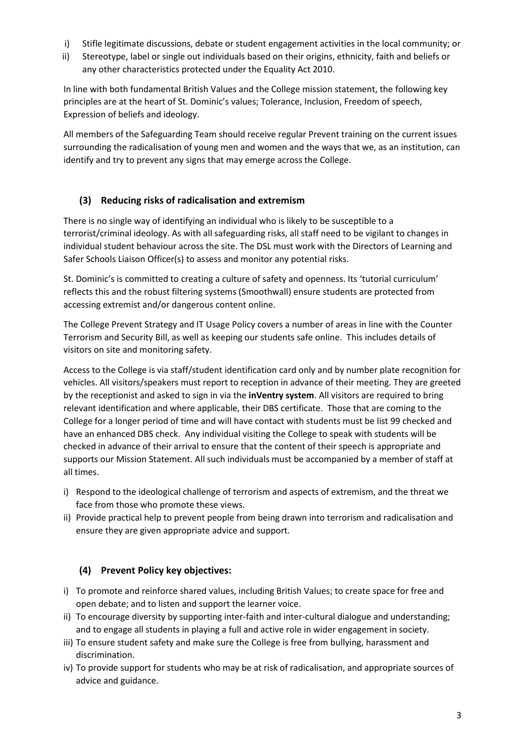- i) Stifle legitimate discussions, debate or student engagement activities in the local community; or
- ii) Stereotype, label or single out individuals based on their origins, ethnicity, faith and beliefs or any other characteristics protected under the Equality Act 2010.

In line with both fundamental British Values and the College mission statement, the following key principles are at the heart of St. Dominic's values; Tolerance, Inclusion, Freedom of speech, Expression of beliefs and ideology.

All members of the Safeguarding Team should receive regular Prevent training on the current issues surrounding the radicalisation of young men and women and the ways that we, as an institution, can identify and try to prevent any signs that may emerge across the College.

# **(3) Reducing risks of radicalisation and extremism**

There is no single way of identifying an individual who is likely to be susceptible to a terrorist/criminal ideology. As with all safeguarding risks, all staff need to be vigilant to changes in individual student behaviour across the site. The DSL must work with the Directors of Learning and Safer Schools Liaison Officer(s) to assess and monitor any potential risks.

St. Dominic's is committed to creating a culture of safety and openness. Its 'tutorial curriculum' reflects this and the robust filtering systems (Smoothwall) ensure students are protected from accessing extremist and/or dangerous content online.

The College Prevent Strategy and IT Usage Policy covers a number of areas in line with the Counter Terrorism and Security Bill, as well as keeping our students safe online. This includes details of visitors on site and monitoring safety.

Access to the College is via staff/student identification card only and by number plate recognition for vehicles. All visitors/speakers must report to reception in advance of their meeting. They are greeted by the receptionist and asked to sign in via the **inVentry system**. All visitors are required to bring relevant identification and where applicable, their DBS certificate. Those that are coming to the College for a longer period of time and will have contact with students must be list 99 checked and have an enhanced DBS check. Any individual visiting the College to speak with students will be checked in advance of their arrival to ensure that the content of their speech is appropriate and supports our Mission Statement. All such individuals must be accompanied by a member of staff at all times.

- i) Respond to the ideological challenge of terrorism and aspects of extremism, and the threat we face from those who promote these views.
- ii) Provide practical help to prevent people from being drawn into terrorism and radicalisation and ensure they are given appropriate advice and support.

# **(4) Prevent Policy key objectives:**

- i) To promote and reinforce shared values, including British Values; to create space for free and open debate; and to listen and support the learner voice.
- ii) To encourage diversity by supporting inter-faith and inter-cultural dialogue and understanding; and to engage all students in playing a full and active role in wider engagement in society.
- iii) To ensure student safety and make sure the College is free from bullying, harassment and discrimination.
- iv) To provide support for students who may be at risk of radicalisation, and appropriate sources of advice and guidance.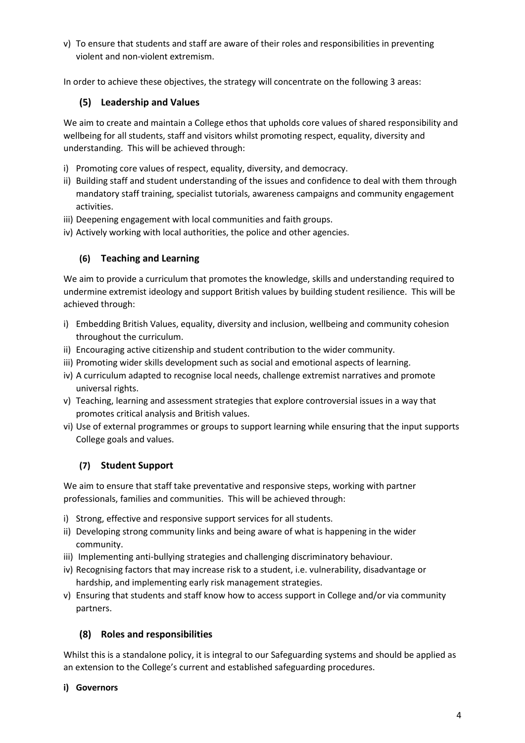v) To ensure that students and staff are aware of their roles and responsibilities in preventing violent and non-violent extremism.

In order to achieve these objectives, the strategy will concentrate on the following 3 areas:

#### **(5) Leadership and Values**

We aim to create and maintain a College ethos that upholds core values of shared responsibility and wellbeing for all students, staff and visitors whilst promoting respect, equality, diversity and understanding. This will be achieved through:

- i) Promoting core values of respect, equality, diversity, and democracy.
- ii) Building staff and student understanding of the issues and confidence to deal with them through mandatory staff training, specialist tutorials, awareness campaigns and community engagement activities.
- iii) Deepening engagement with local communities and faith groups.
- iv) Actively working with local authorities, the police and other agencies.

#### **(6) Teaching and Learning**

We aim to provide a curriculum that promotes the knowledge, skills and understanding required to undermine extremist ideology and support British values by building student resilience. This will be achieved through:

- i) Embedding British Values, equality, diversity and inclusion, wellbeing and community cohesion throughout the curriculum.
- ii) Encouraging active citizenship and student contribution to the wider community.
- iii) Promoting wider skills development such as social and emotional aspects of learning.
- iv) A curriculum adapted to recognise local needs, challenge extremist narratives and promote universal rights.
- v) Teaching, learning and assessment strategies that explore controversial issues in a way that promotes critical analysis and British values.
- vi) Use of external programmes or groups to support learning while ensuring that the input supports College goals and values.

#### **(7) Student Support**

We aim to ensure that staff take preventative and responsive steps, working with partner professionals, families and communities. This will be achieved through:

- i) Strong, effective and responsive support services for all students.
- ii) Developing strong community links and being aware of what is happening in the wider community.
- iii) Implementing anti-bullying strategies and challenging discriminatory behaviour.
- iv) Recognising factors that may increase risk to a student, i.e. vulnerability, disadvantage or hardship, and implementing early risk management strategies.
- v) Ensuring that students and staff know how to access support in College and/or via community partners.

#### **(8) Roles and responsibilities**

Whilst this is a standalone policy, it is integral to our Safeguarding systems and should be applied as an extension to the College's current and established safeguarding procedures.

#### **i) Governors**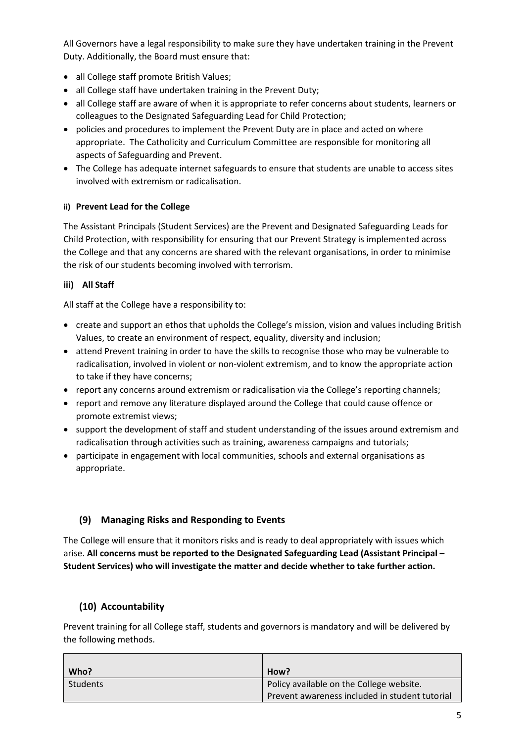All Governors have a legal responsibility to make sure they have undertaken training in the Prevent Duty. Additionally, the Board must ensure that:

- all College staff promote British Values;
- all College staff have undertaken training in the Prevent Duty;
- all College staff are aware of when it is appropriate to refer concerns about students, learners or colleagues to the Designated Safeguarding Lead for Child Protection;
- policies and procedures to implement the Prevent Duty are in place and acted on where appropriate. The Catholicity and Curriculum Committee are responsible for monitoring all aspects of Safeguarding and Prevent.
- The College has adequate internet safeguards to ensure that students are unable to access sites involved with extremism or radicalisation.

### **ii) Prevent Lead for the College**

The Assistant Principals (Student Services) are the Prevent and Designated Safeguarding Leads for Child Protection, with responsibility for ensuring that our Prevent Strategy is implemented across the College and that any concerns are shared with the relevant organisations, in order to minimise the risk of our students becoming involved with terrorism.

#### **iii) All Staff**

All staff at the College have a responsibility to:

- create and support an ethos that upholds the College's mission, vision and values including British Values, to create an environment of respect, equality, diversity and inclusion;
- attend Prevent training in order to have the skills to recognise those who may be vulnerable to radicalisation, involved in violent or non-violent extremism, and to know the appropriate action to take if they have concerns;
- report any concerns around extremism or radicalisation via the College's reporting channels;
- report and remove any literature displayed around the College that could cause offence or promote extremist views;
- support the development of staff and student understanding of the issues around extremism and radicalisation through activities such as training, awareness campaigns and tutorials;
- participate in engagement with local communities, schools and external organisations as appropriate.

## **(9) Managing Risks and Responding to Events**

The College will ensure that it monitors risks and is ready to deal appropriately with issues which arise. **All concerns must be reported to the Designated Safeguarding Lead (Assistant Principal – Student Services) who will investigate the matter and decide whether to take further action.**

## **(10) Accountability**

Prevent training for all College staff, students and governors is mandatory and will be delivered by the following methods.

| Who?            | How?                                           |
|-----------------|------------------------------------------------|
| <b>Students</b> | Policy available on the College website.       |
|                 | Prevent awareness included in student tutorial |